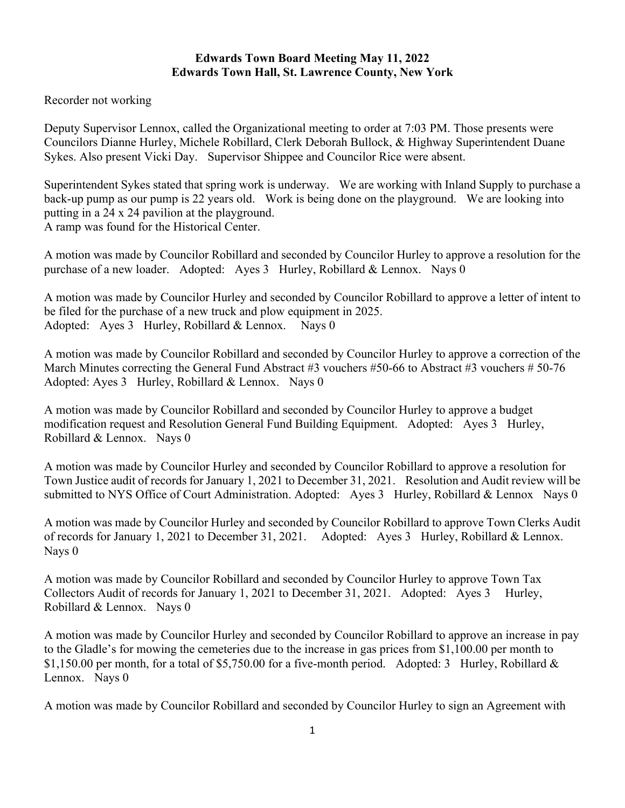## **Edwards Town Board Meeting May 11, 2022 Edwards Town Hall, St. Lawrence County, New York**

Recorder not working

Deputy Supervisor Lennox, called the Organizational meeting to order at 7:03 PM. Those presents were Councilors Dianne Hurley, Michele Robillard, Clerk Deborah Bullock, & Highway Superintendent Duane Sykes. Also present Vicki Day. Supervisor Shippee and Councilor Rice were absent.

Superintendent Sykes stated that spring work is underway. We are working with Inland Supply to purchase a back-up pump as our pump is 22 years old. Work is being done on the playground. We are looking into putting in a 24 x 24 pavilion at the playground. A ramp was found for the Historical Center.

A motion was made by Councilor Robillard and seconded by Councilor Hurley to approve a resolution for the purchase of a new loader. Adopted: Ayes 3 Hurley, Robillard & Lennox. Nays 0

A motion was made by Councilor Hurley and seconded by Councilor Robillard to approve a letter of intent to be filed for the purchase of a new truck and plow equipment in 2025. Adopted: Ayes 3 Hurley, Robillard & Lennox. Nays 0

A motion was made by Councilor Robillard and seconded by Councilor Hurley to approve a correction of the March Minutes correcting the General Fund Abstract #3 vouchers #50-66 to Abstract #3 vouchers # 50-76 Adopted: Ayes 3 Hurley, Robillard & Lennox. Nays 0

A motion was made by Councilor Robillard and seconded by Councilor Hurley to approve a budget modification request and Resolution General Fund Building Equipment. Adopted: Ayes 3 Hurley, Robillard & Lennox. Nays 0

A motion was made by Councilor Hurley and seconded by Councilor Robillard to approve a resolution for Town Justice audit of records for January 1, 2021 to December 31, 2021. Resolution and Audit review will be submitted to NYS Office of Court Administration. Adopted: Ayes 3 Hurley, Robillard & Lennox Nays 0

A motion was made by Councilor Hurley and seconded by Councilor Robillard to approve Town Clerks Audit of records for January 1, 2021 to December 31, 2021. Adopted: Ayes 3 Hurley, Robillard & Lennox. Nays 0

A motion was made by Councilor Robillard and seconded by Councilor Hurley to approve Town Tax Collectors Audit of records for January 1, 2021 to December 31, 2021. Adopted: Ayes 3 Hurley, Robillard & Lennox. Nays 0

A motion was made by Councilor Hurley and seconded by Councilor Robillard to approve an increase in pay to the Gladle's for mowing the cemeteries due to the increase in gas prices from \$1,100.00 per month to \$1,150.00 per month, for a total of \$5,750.00 for a five-month period. Adopted: 3 Hurley, Robillard  $\&$ Lennox. Nays 0

A motion was made by Councilor Robillard and seconded by Councilor Hurley to sign an Agreement with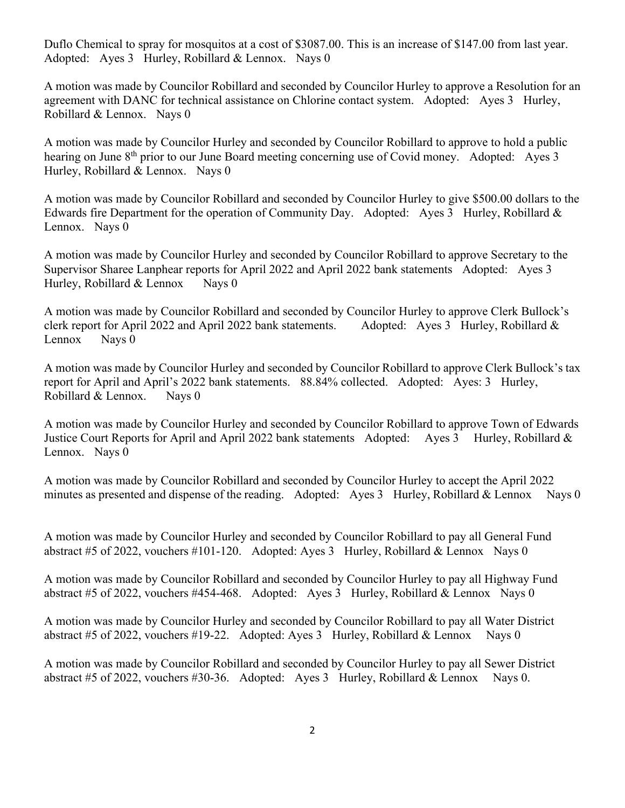Duflo Chemical to spray for mosquitos at a cost of \$3087.00. This is an increase of \$147.00 from last year. Adopted: Ayes 3 Hurley, Robillard & Lennox. Nays 0

A motion was made by Councilor Robillard and seconded by Councilor Hurley to approve a Resolution for an agreement with DANC for technical assistance on Chlorine contact system. Adopted: Ayes 3 Hurley, Robillard & Lennox. Nays 0

A motion was made by Councilor Hurley and seconded by Councilor Robillard to approve to hold a public hearing on June 8<sup>th</sup> prior to our June Board meeting concerning use of Covid money. Adopted: Ayes 3 Hurley, Robillard & Lennox. Nays 0

A motion was made by Councilor Robillard and seconded by Councilor Hurley to give \$500.00 dollars to the Edwards fire Department for the operation of Community Day. Adopted: Ayes 3 Hurley, Robillard & Lennox. Nays 0

A motion was made by Councilor Hurley and seconded by Councilor Robillard to approve Secretary to the Supervisor Sharee Lanphear reports for April 2022 and April 2022 bank statements Adopted: Ayes 3 Hurley, Robillard  $&$  Lennox Nays 0

A motion was made by Councilor Robillard and seconded by Councilor Hurley to approve Clerk Bullock's clerk report for April 2022 and April 2022 bank statements. Adopted: Ayes 3 Hurley, Robillard & Lennox Nays 0

A motion was made by Councilor Hurley and seconded by Councilor Robillard to approve Clerk Bullock's tax report for April and April's 2022 bank statements. 88.84% collected. Adopted: Ayes: 3 Hurley, Robillard & Lennox. Nays 0

A motion was made by Councilor Hurley and seconded by Councilor Robillard to approve Town of Edwards Justice Court Reports for April and April 2022 bank statements Adopted: Ayes 3 Hurley, Robillard & Lennox. Nays 0

A motion was made by Councilor Robillard and seconded by Councilor Hurley to accept the April 2022 minutes as presented and dispense of the reading. Adopted: Ayes 3 Hurley, Robillard & Lennox Nays 0

A motion was made by Councilor Hurley and seconded by Councilor Robillard to pay all General Fund abstract #5 of 2022, vouchers #101-120. Adopted: Ayes 3 Hurley, Robillard & Lennox Nays 0

A motion was made by Councilor Robillard and seconded by Councilor Hurley to pay all Highway Fund abstract #5 of 2022, vouchers #454-468. Adopted: Ayes 3 Hurley, Robillard & Lennox Nays 0

A motion was made by Councilor Hurley and seconded by Councilor Robillard to pay all Water District abstract #5 of 2022, vouchers #19-22. Adopted: Ayes 3 Hurley, Robillard & Lennox Nays 0

A motion was made by Councilor Robillard and seconded by Councilor Hurley to pay all Sewer District abstract #5 of 2022, vouchers #30-36. Adopted: Ayes 3 Hurley, Robillard & Lennox Nays 0.